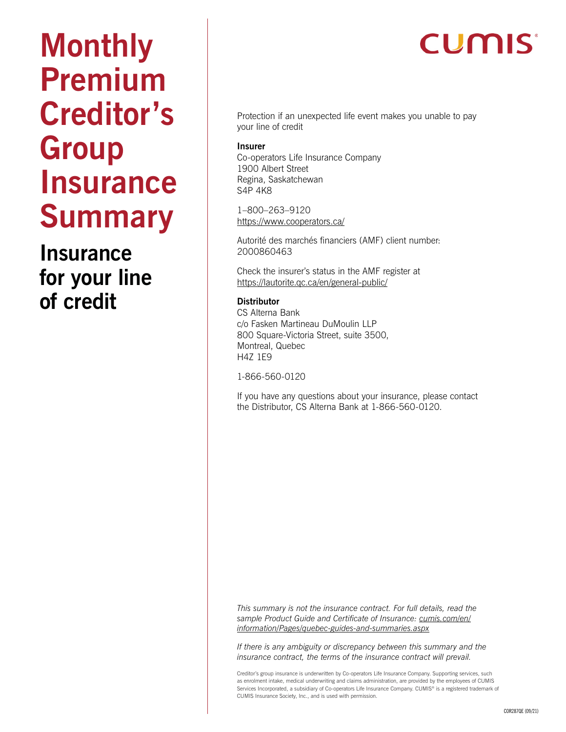# **Monthly Premium Creditor's Group Insurance Summary**

**Insurance for your line of credit**

# **CUMIS**

Protection if an unexpected life event makes you unable to pay your line of credit

#### **Insurer**

Co-operators Life Insurance Company 1900 Albert Street Regina, Saskatchewan S4P 4K8

1–800–263–9120 <https://www.cooperators.ca/>

Autorité des marchés financiers (AMF) client number: 2000860463

Check the insurer's status in the AMF register at <https://lautorite.qc.ca/en/general-public/>

# **Distributor**

CS Alterna Bank c/o Fasken Martineau DuMoulin LLP 800 Square-Victoria Street, suite 3500, Montreal, Quebec H4Z 1E9

1-866-560-0120

If you have any questions about your insurance, please contact the Distributor, CS Alterna Bank at 1-866-560-0120.

*This summary is not the insurance contract. For full details, read the sample Product Guide and Certificate of Insurance: [cumis.com/en/](http://cumis.com/en/information/Pages/quebec-guides-and-summaries.aspx) [information/Pages/quebec-guides-and-summaries.aspx](http://cumis.com/en/information/Pages/quebec-guides-and-summaries.aspx)*

*If there is any ambiguity or discrepancy between this summary and the insurance contract, the terms of the insurance contract will prevail.*

Creditor's group insurance is underwritten by Co-operators Life Insurance Company. Supporting services, such as enrolment intake, medical underwriting and claims administration, are provided by the employees of CUMIS Services Incorporated, a subsidiary of Co-operators Life Insurance Company. CUMIS® is a registered trademark of CUMIS Insurance Society, Inc., and is used with permission.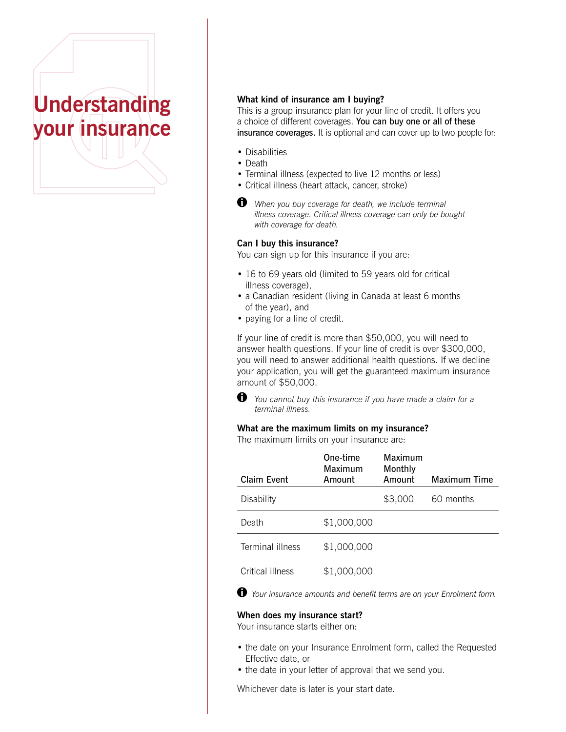

#### **What kind of insurance am I buying?**

This is a group insurance plan for your line of credit. It offers you a choice of different coverages. You can buy one or all of these insurance coverages. It is optional and can cover up to two people for:

- Disabilities
- Death
- Terminal illness (expected to live 12 months or less)
- Critical illness (heart attack, cancer, stroke)
- 

 *When you buy coverage for death, we include terminal illness coverage. Critical illness coverage can only be bought with coverage for death.*

#### **Can I buy this insurance?**

You can sign up for this insurance if you are:

- 16 to 69 years old (limited to 59 years old for critical illness coverage),
- a Canadian resident (living in Canada at least 6 months of the year), and
- paying for a line of credit.

If your line of credit is more than \$50,000, you will need to answer health questions. If your line of credit is over \$300,000, you will need to answer additional health questions. If we decline your application, you will get the guaranteed maximum insurance amount of \$50,000.



 *You cannot buy this insurance if you have made a claim for a terminal illness.*

#### **What are the maximum limits on my insurance?**

The maximum limits on your insurance are:

| Claim Event      | One-time<br>Maximum<br>Amount | Maximum<br>Monthly<br>Amount | <b>Maximum Time</b> |
|------------------|-------------------------------|------------------------------|---------------------|
| Disability       |                               | \$3,000                      | 60 months           |
| Death            | \$1,000,000                   |                              |                     |
| Terminal illness | \$1,000,000                   |                              |                     |
| Critical illness | \$1,000,000                   |                              |                     |



 *Your insurance amounts and benefit terms are on your Enrolment form.*

#### **When does my insurance start?**

Your insurance starts either on:

- the date on your Insurance Enrolment form, called the Requested Effective date, or
- the date in your letter of approval that we send you.

Whichever date is later is your start date.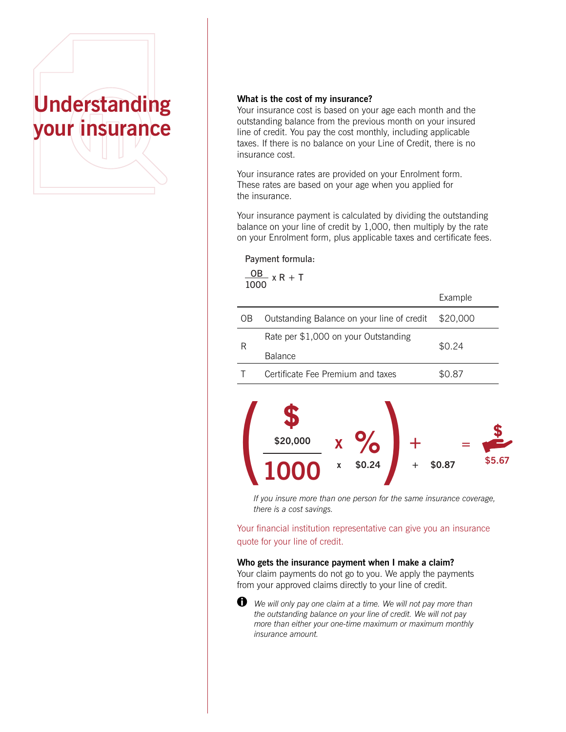

#### **What is the cost of my insurance?**

Your insurance cost is based on your age each month and the outstanding balance from the previous month on your insured line of credit. You pay the cost monthly, including applicable taxes. If there is no balance on your Line of Credit, there is no insurance cost.

Your insurance rates are provided on your Enrolment form. These rates are based on your age when you applied for the insurance.

Your insurance payment is calculated by dividing the outstanding balance on your line of credit by 1,000, then multiply by the rate on your Enrolment form, plus applicable taxes and certificate fees.  $\alpha$  is calculated by dividing the outstanding

#### Payment formula:

<u>\_OB</u> 1000  $x R + T$ 

|    |                                            | Example  |  |
|----|--------------------------------------------|----------|--|
| OВ | Outstanding Balance on your line of credit | \$20,000 |  |
| R  | Rate per \$1,000 on your Outstanding       | \$0.24   |  |
|    | <b>Balance</b>                             |          |  |
|    | Certificate Fee Premium and taxes          | \$0.87   |  |
|    |                                            |          |  |



*If you insure more than one person for the same insurance coverage, there is a cost savings.*

Your financial institution representative can give you an insurance quote for your line of credit.

**Who gets the insurance payment when I make a claim?** Your claim payments do not go to you. We apply the payments from your approved claims directly to your line of credit.



 $\bigoplus$  We will only pay one claim at a time. We will not pay more than *the outstanding balance on your line of credit. We will not pay more than either your one-time maximum or maximum monthly insurance amount.*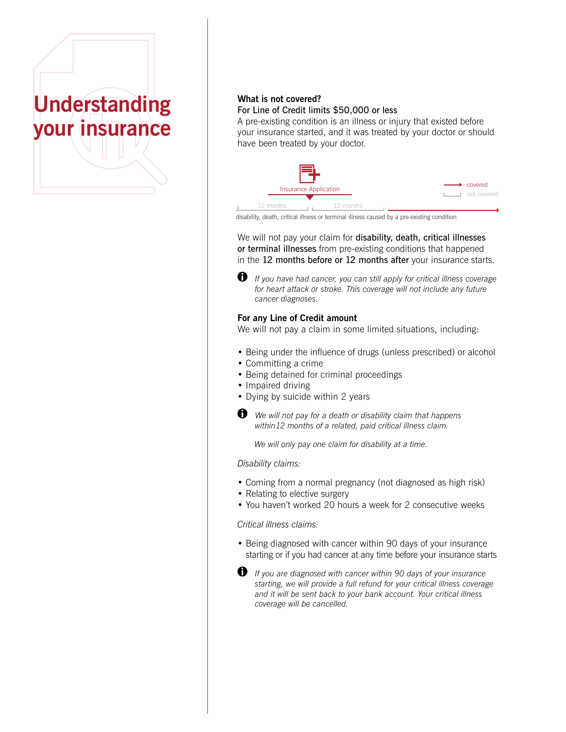

# **What is not covered?** For Line of Credit limits \$50,000 or less

A pre-existing condition is an illness or injury that existed before your insurance started, and it was treated by your doctor or should have been treated by your doctor.



disability, death, critical illness or terminal illness caused by a pre-existing condition

We will not pay your claim for disability, death, critical illnesses or terminal illnesses from pre-existing conditions that happened in the 12 months before or 12 months after your insurance starts.

 *If you have had cancer, you can still apply for critical illness coverage for heart attack or stroke. This coverage will not include any future cancer diagnoses.*

### **For any Line of Credit amount**

We will not pay a claim in some limited situations, including:

- Being under the influence of drugs (unless prescribed) or alcohol
- Committing a crime
- Being detained for criminal proceedings
- Impaired driving
- Dying by suicide within 2 years
- *We will not pay for a death or disability claim that happens*  within12 months of a related, paid critical illness claim. final proceed<br>
1 2 years<br> *eath or disabilit*<br> *elated, paid crim*<br> *im for disabilit* • Being detail<br>• Impaired dri<br>• Dying by su<br>• We will not<br>*within12 m*<br>*Disability claim*

*We will only pay one claim for disability at a time.*<br>Sability claims:

#### *Disability claims:*

- Coming from a normal pregnancy (not diagnosed as high risk)
- Relating to elective surgery
- You haven't worked 20 hours a week for 2 consecutive weeks

#### *Critical illness claims:*

- Being diagnosed with cancer within 90 days of your insurance starting or if you had cancer at any time before your insurance starts
- *If you are diagnosed with cancer within 90 days of your insurance starting, we will provide a full refund for your critical illness coverage and it will be sent back to your bank account. Your critical illness coverage will be cancelled.*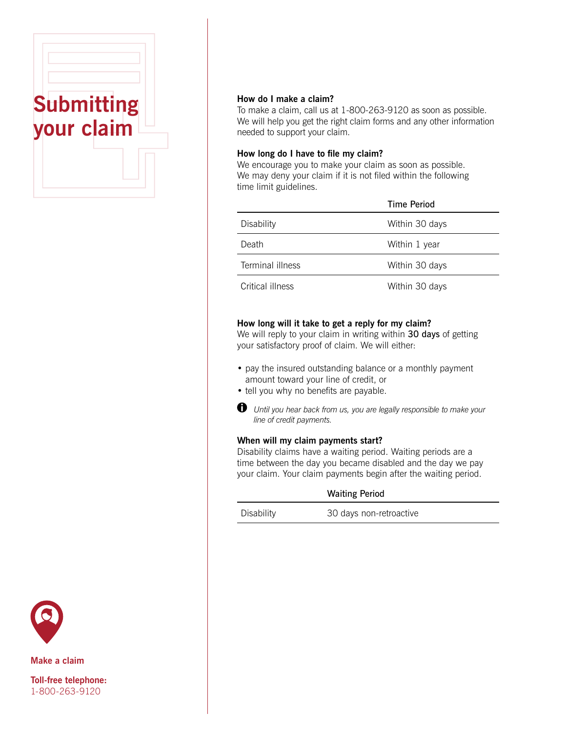

#### **How do I make a claim?**

To make a claim, call us at 1-800-263-9120 as soon as possible. We will help you get the right claim forms and any other information needed to support your claim.

#### **How long do I have to file my claim?**

We encourage you to make your claim as soon as possible. We may deny your claim if it is not filed within the following time limit guidelines.

|                  | <b>Time Period</b> |
|------------------|--------------------|
| Disability       | Within 30 days     |
| Death            | Within 1 year      |
| Terminal illness | Within 30 days     |
| Critical illness | Within 30 days     |

# **How long will it take to get a reply for my claim?**

We will reply to your claim in writing within 30 days of getting your satisfactory proof of claim. We will either:

- pay the insured outstanding balance or a monthly payment amount toward your line of credit, or
- tell you why no benefits are payable.



 *Until you hear back from us, you are legally responsible to make your line of credit payments.*

#### **When will my claim payments start?**

Disability claims have a waiting period. Waiting periods are a time between the day you became disabled and the day we pay your claim. Your claim payments begin after the waiting period.

| <b>Waiting Period</b> |  |
|-----------------------|--|
|                       |  |

Disability 30 days non-retroactive



**Make a claim**

**Toll-free telephone:** 1-800-263-9120